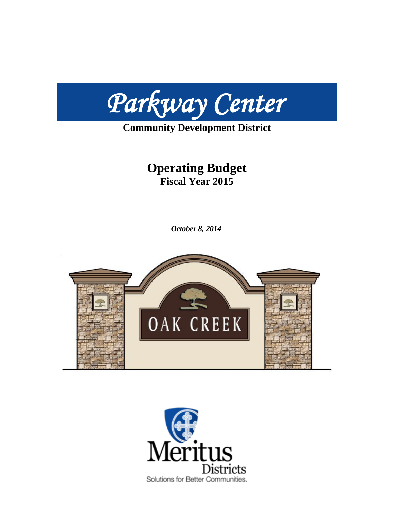

## **Community Development District**

## **Operating Budget Fiscal Year 2015**

*October 8, 2014*



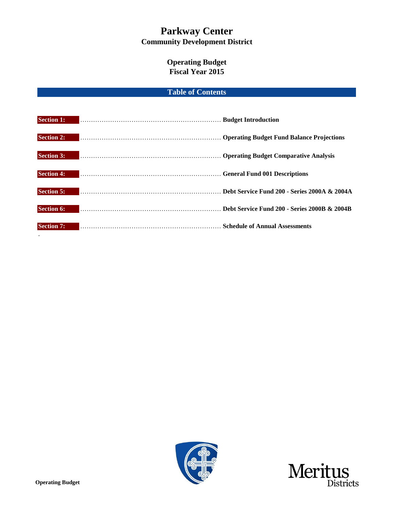## **Operating Budget Fiscal Year 2015**

## **Table of Contents**

| <b>Section 1:</b> | Budget Introduction                                                                                                                                                                                                            |                                              |
|-------------------|--------------------------------------------------------------------------------------------------------------------------------------------------------------------------------------------------------------------------------|----------------------------------------------|
| <b>Section 2:</b> | Derating Budget Fund Balance Projections (2014) Archives and Solomont Contract of Contract of Contract of Contract of Contract of Contract of Contract of Contract of Contract of Contract of Contract of Contract of Contract |                                              |
| <b>Section 3:</b> |                                                                                                                                                                                                                                |                                              |
| <b>Section 4:</b> | General Fund 001 Descriptions                                                                                                                                                                                                  |                                              |
| <b>Section 5:</b> | Debt Service Fund 200 - Series 2000A & 2004A                                                                                                                                                                                   |                                              |
| <b>Section 6:</b> |                                                                                                                                                                                                                                | Debt Service Fund 200 - Series 2000B & 2004B |
| <b>Section 7:</b> | <b>Schedule of Annual Assessments</b>                                                                                                                                                                                          |                                              |





.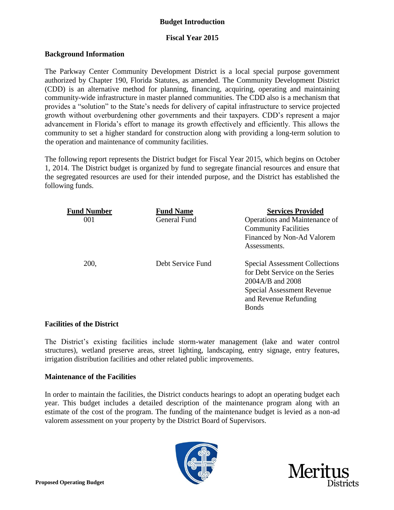## **Budget Introduction**

## **Fiscal Year 2015**

## **Background Information**

The Parkway Center Community Development District is a local special purpose government authorized by Chapter 190, Florida Statutes, as amended. The Community Development District (CDD) is an alternative method for planning, financing, acquiring, operating and maintaining community-wide infrastructure in master planned communities. The CDD also is a mechanism that provides a "solution" to the State's needs for delivery of capital infrastructure to service projected growth without overburdening other governments and their taxpayers. CDD's represent a major advancement in Florida's effort to manage its growth effectively and efficiently. This allows the community to set a higher standard for construction along with providing a long-term solution to the operation and maintenance of community facilities.

The following report represents the District budget for Fiscal Year 2015, which begins on October 1, 2014. The District budget is organized by fund to segregate financial resources and ensure that the segregated resources are used for their intended purpose, and the District has established the following funds.

| <b>Fund Number</b> | <b>Fund Name</b>  | <b>Services Provided</b>                                                                                                                                           |
|--------------------|-------------------|--------------------------------------------------------------------------------------------------------------------------------------------------------------------|
| 001                | General Fund      | Operations and Maintenance of<br><b>Community Facilities</b><br>Financed by Non-Ad Valorem<br>Assessments.                                                         |
| 200,               | Debt Service Fund | <b>Special Assessment Collections</b><br>for Debt Service on the Series<br>2004A/B and 2008<br>Special Assessment Revenue<br>and Revenue Refunding<br><b>Bonds</b> |

## **Facilities of the District**

The District's existing facilities include storm-water management (lake and water control structures), wetland preserve areas, street lighting, landscaping, entry signage, entry features, irrigation distribution facilities and other related public improvements.

## **Maintenance of the Facilities**

In order to maintain the facilities, the District conducts hearings to adopt an operating budget each year. This budget includes a detailed description of the maintenance program along with an estimate of the cost of the program. The funding of the maintenance budget is levied as a non-ad valorem assessment on your property by the District Board of Supervisors.



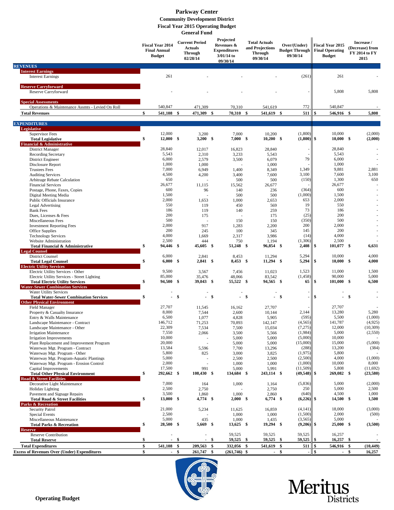#### **General Fund Fiscal Year 2015 Operating Budget Community Development District Parkway Center**

|                                                                                    |    | <b>Fiscal Year 2014</b><br><b>Final Annual</b><br><b>Budget</b> |              |                 |      | <b>Current Period</b><br><b>Actuals</b><br><b>Through</b><br>02/28/14 |              | Projected<br>Revenues &<br><b>Expenditures</b><br>$3/01/14$ to<br>09/30/14 |      | <b>Total Actuals</b><br>and Projections<br><b>Through</b><br>09/30/14 |                  | Over/(Under)<br><b>Budget Through</b><br>09/30/14 | <b>Fiscal Year 2015</b><br><b>Final Operating</b><br><b>Budget</b> |  | Increase /<br>(Decrease) from<br>FY 2014 to FY<br>2015 |  |
|------------------------------------------------------------------------------------|----|-----------------------------------------------------------------|--------------|-----------------|------|-----------------------------------------------------------------------|--------------|----------------------------------------------------------------------------|------|-----------------------------------------------------------------------|------------------|---------------------------------------------------|--------------------------------------------------------------------|--|--------------------------------------------------------|--|
| <b>REVENUES</b><br><b>Interest Earnings</b>                                        |    |                                                                 |              |                 |      |                                                                       |              |                                                                            |      |                                                                       |                  |                                                   |                                                                    |  |                                                        |  |
| <b>Interest Earnings</b>                                                           |    | 261                                                             |              |                 |      |                                                                       |              |                                                                            |      | (261)                                                                 | 261              |                                                   |                                                                    |  |                                                        |  |
| <b>Reserve Carryforward</b>                                                        |    |                                                                 |              |                 |      |                                                                       |              |                                                                            |      |                                                                       |                  |                                                   |                                                                    |  |                                                        |  |
| Reserve Carryforward                                                               |    |                                                                 |              |                 |      |                                                                       |              |                                                                            |      |                                                                       | 5,808            |                                                   | 5,808                                                              |  |                                                        |  |
| <b>Special Assessments</b>                                                         |    |                                                                 |              |                 |      |                                                                       |              |                                                                            |      |                                                                       |                  |                                                   |                                                                    |  |                                                        |  |
| Operations & Maintenance Assmts - Levied On Roll                                   | \$ | 540,847                                                         |              | 471,309         |      | 70,310                                                                |              | 541,619                                                                    |      | 772                                                                   | 540,847<br>\$    |                                                   |                                                                    |  |                                                        |  |
| <b>Total Revenues</b>                                                              |    | 541,108 \$                                                      |              | 471,309 \$      |      | 70,310 \$                                                             |              | 541,619 \$                                                                 |      | 511                                                                   | 546,916 \$       |                                                   | 5,808                                                              |  |                                                        |  |
| <b>EXPENDITURES</b><br>Legislative                                                 |    |                                                                 |              |                 |      |                                                                       |              |                                                                            |      |                                                                       |                  |                                                   |                                                                    |  |                                                        |  |
| <b>Supervisor Fees</b>                                                             |    | 12,000                                                          |              | 3,200           |      | 7,000                                                                 |              | 10,200                                                                     |      | (1,800)                                                               | 10,000           |                                                   | (2,000)                                                            |  |                                                        |  |
| <b>Total Legislative</b><br>Financial & Administrative                             |    | $12,000$ \$                                                     |              | $3,200$ \$      |      | 7,000 S                                                               |              | $10,200$ \$                                                                |      | (1,800)                                                               | 10,000<br>\$     | -\$                                               | (2,000)                                                            |  |                                                        |  |
| <b>District Manager</b>                                                            |    | 28,840                                                          |              | 12,017          |      | 16,823                                                                |              | 28,840                                                                     |      |                                                                       | 28,840           |                                                   |                                                                    |  |                                                        |  |
| Recording Secretary                                                                |    | 5,543                                                           |              | 2,310           |      | 3,233                                                                 |              | 5,543                                                                      |      |                                                                       | 5,543            |                                                   |                                                                    |  |                                                        |  |
| District Engineer<br>Disclosure Report                                             |    | 6,000<br>1,000                                                  |              | 2,579<br>1,000  |      | 3,500                                                                 |              | 6,079<br>1,000                                                             |      | 79                                                                    | 6,000<br>1,000   |                                                   |                                                                    |  |                                                        |  |
| <b>Trustees Fees</b>                                                               |    | 7,000                                                           |              | 6,949           |      | 1,400                                                                 |              | 8,349                                                                      |      | 1,349                                                                 | 9,881            |                                                   | 2,881                                                              |  |                                                        |  |
| <b>Auditing Services</b>                                                           |    | 4,500                                                           |              | 4,200           |      | 3,400                                                                 |              | 7,600                                                                      |      | 3,100                                                                 | 7,600            |                                                   | 3,100                                                              |  |                                                        |  |
| Arbitrage Rebate Calculation                                                       |    | 650<br>26,677                                                   |              | 11,115          |      | 500                                                                   |              | 500                                                                        |      | (150)                                                                 | 1,300<br>26,677  |                                                   | 650                                                                |  |                                                        |  |
| <b>Financial Services</b><br>Postage, Phone, Faxes, Copies                         |    | 600                                                             |              | 96              |      | 15,562<br>140                                                         |              | 26,677<br>236                                                              |      | (364)                                                                 | 600              |                                                   |                                                                    |  |                                                        |  |
| Digital Meeting Media                                                              |    | 1,500                                                           |              |                 |      | 500                                                                   |              | 500                                                                        |      | (1,000)                                                               | 1,500            |                                                   |                                                                    |  |                                                        |  |
| Public Officials Insurance                                                         |    | 2,000                                                           |              | 1,653           |      | 1,000                                                                 |              | 2,653                                                                      |      | 653                                                                   | 2,000            |                                                   |                                                                    |  |                                                        |  |
| Legal Advertising<br><b>Bank Fees</b>                                              |    | 550<br>186                                                      |              | 119<br>119      |      | 450<br>140                                                            |              | 569<br>259                                                                 |      | 19<br>73                                                              | 550<br>186       |                                                   |                                                                    |  |                                                        |  |
| Dues, Licenses & Fees                                                              |    | 200                                                             |              | 175             |      |                                                                       |              | 175                                                                        |      | (25)                                                                  | 200              |                                                   |                                                                    |  |                                                        |  |
| Miscellaneous Fees                                                                 |    | 500                                                             |              |                 |      | 150                                                                   |              | 150                                                                        |      | (350)                                                                 | 500              |                                                   |                                                                    |  |                                                        |  |
| <b>Investment Reporting Fees</b><br>Office Supplies                                |    | 2,000<br>200                                                    |              | 917<br>245      |      | 1,283<br>100                                                          |              | 2,200<br>345                                                               |      | 200<br>145                                                            | 2,000<br>200     |                                                   |                                                                    |  |                                                        |  |
| <b>Technology Services</b>                                                         |    | 4,000                                                           |              | 1,669           |      | 2,317                                                                 |              | 3,986                                                                      |      | (14)                                                                  | 4,000            |                                                   |                                                                    |  |                                                        |  |
| Website Administration                                                             |    | 2,500                                                           |              | 444             |      | 750                                                                   |              | 1,194                                                                      |      | (1,306)                                                               | 2,500            |                                                   |                                                                    |  |                                                        |  |
| Total Financial & Administrative                                                   | \$ | 94,446 \$                                                       |              | $45,605$ \$     |      | 51,248 \$                                                             |              | 96,854 \$                                                                  |      | 2,408                                                                 | \$<br>101,077    | -\$                                               | 6,631                                                              |  |                                                        |  |
| <b>Legal Counsel</b><br><b>District Counsel</b>                                    |    | 6,000                                                           |              | 2,841           |      | 8,453                                                                 |              | 11,294                                                                     |      | 5,294                                                                 | 10,000           |                                                   | 4,000                                                              |  |                                                        |  |
| <b>Total Legal Counsel</b>                                                         |    | 6,000S                                                          |              | $2,841$ \$      |      | $8,453$ \$                                                            |              | $11,294$ \$                                                                |      | 5,294                                                                 | \$<br>10,000     | -\$                                               | 4,000                                                              |  |                                                        |  |
| <b>Electric Utility Services</b>                                                   |    |                                                                 |              |                 |      |                                                                       |              |                                                                            |      |                                                                       |                  |                                                   |                                                                    |  |                                                        |  |
| Electric Utility Services - Other<br>Electric Utility Services - Street Lighting   |    | 9,500<br>85,000                                                 |              | 3,567<br>35,476 |      | 7,456<br>48,066                                                       |              | 11,023<br>83,542                                                           |      | 1,523<br>(1, 458)                                                     | 11,000<br>90,000 |                                                   | 1,500<br>5,000                                                     |  |                                                        |  |
| <b>Total Electric Utility Services</b>                                             | \$ | 94,500 \$                                                       |              | $39,043$ \$     |      | 55,522 \$                                                             |              | 94,565 \$                                                                  |      | 65                                                                    | $101,000$ \$     |                                                   | 6,500                                                              |  |                                                        |  |
| <b>Water-Sewer Combination Services</b>                                            |    |                                                                 |              |                 |      |                                                                       |              |                                                                            |      |                                                                       |                  |                                                   |                                                                    |  |                                                        |  |
| <b>Water Utility Services</b><br><b>Total Water-Sewer Combination Services</b>     | \$ |                                                                 | $\mathbf{s}$ |                 | \$   |                                                                       | $\mathbf{s}$ |                                                                            | \$   |                                                                       | \$               | \$                                                |                                                                    |  |                                                        |  |
| <b>Other Physical Environment</b>                                                  |    |                                                                 |              |                 |      |                                                                       |              |                                                                            |      |                                                                       |                  |                                                   |                                                                    |  |                                                        |  |
| <b>Field Manager</b>                                                               |    | 27,707                                                          |              | 11,545          |      | 16,162                                                                |              | 27,707                                                                     |      |                                                                       | 27,707           |                                                   |                                                                    |  |                                                        |  |
| Property & Casualty Insurance<br>Entry & Walls Maintenance                         |    | 8,000<br>6,500                                                  |              | 7,544<br>1,077  |      | 2,600<br>4,828                                                        |              | 10,144<br>5,905                                                            |      | 2,144<br>(595)                                                        | 13,280<br>5,500  |                                                   | 5,280<br>(1,000)                                                   |  |                                                        |  |
| Landscape Maintenance - Contract                                                   |    | 146,712                                                         |              | 71.253          |      | 70,893                                                                |              | 142,147                                                                    |      | (4,565)                                                               | 141,787          |                                                   | (4,925)                                                            |  |                                                        |  |
| Landscape Maintenance - Other                                                      |    | 22,309                                                          |              | 7,534           |      | 7,500                                                                 |              | 15,034                                                                     |      | (7,275)                                                               | 12,000           |                                                   | (10, 309)                                                          |  |                                                        |  |
| <b>Irrigation Maintenance</b>                                                      |    | 7,550                                                           |              | 2,066           |      | 3,500                                                                 |              | 5,566                                                                      |      | (1,984)                                                               | 5,000            |                                                   | (2,550)                                                            |  |                                                        |  |
| <b>Irrigation Improvements</b><br>Plant Replacement and Improvement Program        |    | 10,000<br>20,000                                                |              |                 |      | 5,000<br>5,000                                                        |              | 5,000<br>5,000                                                             |      | (5,000)<br>(15,000)                                                   | 10,000<br>15,000 |                                                   | (5,000)                                                            |  |                                                        |  |
| Waterway Mgt. Program - Contract                                                   |    | 13,584                                                          |              | 5,596           |      | 7,700                                                                 |              | 13,296                                                                     |      | (288)                                                                 | 13,200           |                                                   | (384)                                                              |  |                                                        |  |
| Waterway Mgt. Program - Other                                                      |    | 5,800                                                           |              | 825             |      | 3,000                                                                 |              | 3,825                                                                      |      | (1,975)                                                               | 5,800            |                                                   |                                                                    |  |                                                        |  |
| Waterway Mgt. Program-Aquatic Plantings<br>Waterway Mgt. Program - Erosion Control |    | 5,000<br>2,000                                                  |              |                 |      | 2,500<br>1,000                                                        |              | 2,500<br>1,000                                                             |      | (2,500)<br>(1,000)                                                    | 4,000<br>10,000  |                                                   | (1,000)<br>8,000                                                   |  |                                                        |  |
| Capital Improvements                                                               |    | 17,500                                                          |              | 991             |      | 5,000                                                                 |              | 5,991                                                                      |      | (11,509)                                                              | 5,808            |                                                   | (11,692)                                                           |  |                                                        |  |
| <b>Total Other Physical Environment</b>                                            | \$ | 292,662 \$                                                      |              | 108,430 \$      |      | 134,684 \$                                                            |              | 243,114 \$                                                                 |      | (49, 548)                                                             | \$<br>269,082 \$ |                                                   | (23,580)                                                           |  |                                                        |  |
| Road & Street Facilities                                                           |    |                                                                 |              |                 |      |                                                                       |              |                                                                            |      |                                                                       |                  |                                                   |                                                                    |  |                                                        |  |
| Decorative Light Maintenance<br><b>Holiday Lighting</b>                            |    | 7,000<br>2,500                                                  |              | 164<br>2,750    |      | 1,000                                                                 |              | 1,164<br>2,750                                                             |      | (5,836)<br>250                                                        | 5,000<br>5,000   |                                                   | (2,000)<br>2,500                                                   |  |                                                        |  |
| Pavement and Signage Repairs                                                       |    | 3,500                                                           |              | 1,860           |      | 1,000                                                                 |              | 2,860                                                                      |      | (640)                                                                 | 4,500            |                                                   | 1,000                                                              |  |                                                        |  |
| <b>Total Road &amp; Street Facilities</b>                                          | \$ | $13,000$ \$                                                     |              | 4,774 \$        |      | $2,000$ \$                                                            |              | $6,774$ \$                                                                 |      | (6,226)                                                               | 14,500 \$<br>\$  |                                                   | 1,500                                                              |  |                                                        |  |
| <b>Parks &amp; Recreation</b><br><b>Security Patrol</b>                            |    | 21,000                                                          |              | 5,234           |      | 11,625                                                                |              | 16,859                                                                     |      | (4,141)                                                               | 18,000           |                                                   | (3,000)                                                            |  |                                                        |  |
| <b>Special Events</b>                                                              |    | 2,500                                                           |              |                 |      | 1,000                                                                 |              | 1,000                                                                      |      | (1,500)                                                               | 2,000            |                                                   | (500)                                                              |  |                                                        |  |
| Miscellaneous Maintenance                                                          |    | 5,000                                                           |              | 435             |      | 1,000                                                                 |              | 1,435                                                                      |      | (3,565)                                                               | 5,000            |                                                   |                                                                    |  |                                                        |  |
| <b>Total Parks &amp; Recreation</b>                                                | \$ | 28,500 \$                                                       |              | $5,669$ \$      |      | $13,625$ \$                                                           |              | $19,294$ \$                                                                |      | (9,206)                                                               | \$<br>25,000 \$  |                                                   | (3,500)                                                            |  |                                                        |  |
| <b>Reserve</b><br><b>Reserve Contribution</b>                                      |    | ٠                                                               |              | ٠               |      | 59,525                                                                |              | 59,525                                                                     |      | 59,525                                                                | 16,257           |                                                   |                                                                    |  |                                                        |  |
| <b>Total Reserve</b>                                                               | \$ |                                                                 | - \$         |                 | - \$ | 59,525 \$                                                             |              | 59,525 \$                                                                  |      | 59,525                                                                | 16,257           | - \$                                              |                                                                    |  |                                                        |  |
| <b>Total Expenditures</b>                                                          | \$ | 541,108                                                         | \$           | 209,563 \$      |      | 332,056 \$                                                            |              | 541,619 \$                                                                 |      | 511                                                                   | \$<br>546,916 \$ |                                                   | (10, 449)                                                          |  |                                                        |  |
| <b>Excess of Revenues Over (Under) Expenditures</b>                                | \$ | $\sim$                                                          | - \$         | 261,747 \$      |      | $(261,746)$ \$                                                        |              |                                                                            | - \$ |                                                                       | \$               | \$<br>$\sim$                                      | 16,257                                                             |  |                                                        |  |

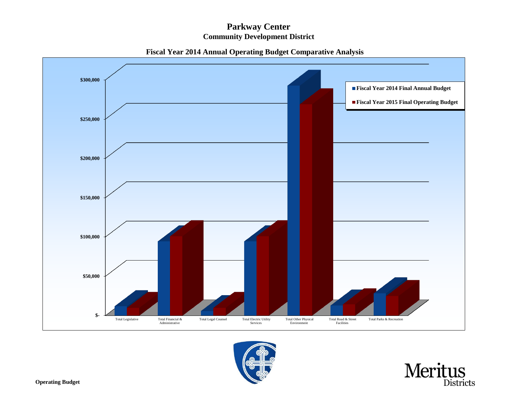## **Community Development District Parkway Center**



## **Fiscal Year 2014 Annual Operating Budget Comparative Analysis**



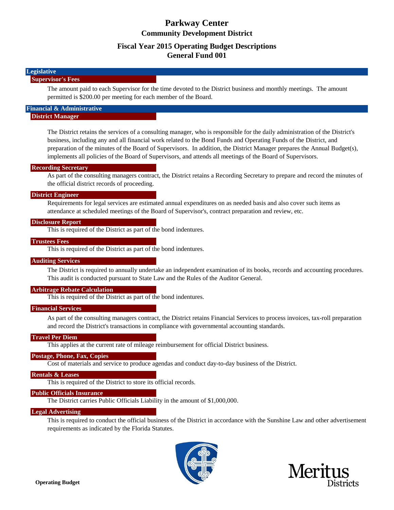### **Fiscal Year 2015 Operating Budget Descriptions General Fund 001**

#### **Legislative Supervisor's Fees**

The amount paid to each Supervisor for the time devoted to the District business and monthly meetings. The amount permitted is \$200.00 per meeting for each member of the Board.

#### **Financial & Administrative District Manager**

The District retains the services of a consulting manager, who is responsible for the daily administration of the District's business, including any and all financial work related to the Bond Funds and Operating Funds of the District, and preparation of the minutes of the Board of Supervisors. In addition, the District Manager prepares the Annual Budget(s), implements all policies of the Board of Supervisors, and attends all meetings of the Board of Supervisors.

#### **Recording Secretary**

As part of the consulting managers contract, the District retains a Recording Secretary to prepare and record the minutes of the official district records of proceeding.

#### **District Engineer**

Requirements for legal services are estimated annual expenditures on as needed basis and also cover such items as attendance at scheduled meetings of the Board of Supervisor's, contract preparation and review, etc.

#### **Disclosure Report**

This is required of the District as part of the bond indentures.

#### **Trustees Fees**

This is required of the District as part of the bond indentures.

#### **Auditing Services**

The District is required to annually undertake an independent examination of its books, records and accounting procedures. This audit is conducted pursuant to State Law and the Rules of the Auditor General.

#### **Arbitrage Rebate Calculation**

This is required of the District as part of the bond indentures.

#### **Financial Services**

As part of the consulting managers contract, the District retains Financial Services to process invoices, tax-roll preparation and record the District's transactions in compliance with governmental accounting standards.

#### **Travel Per Diem**

This applies at the current rate of mileage reimbursement for official District business.

#### **Postage, Phone, Fax, Copies**

Cost of materials and service to produce agendas and conduct day-to-day business of the District.

#### **Rentals & Leases**

This is required of the District to store its official records.

#### **Public Officials Insurance**

The District carries Public Officials Liability in the amount of \$1,000,000.

#### **Legal Advertising**

This is required to conduct the official business of the District in accordance with the Sunshine Law and other advertisement requirements as indicated by the Florida Statutes.



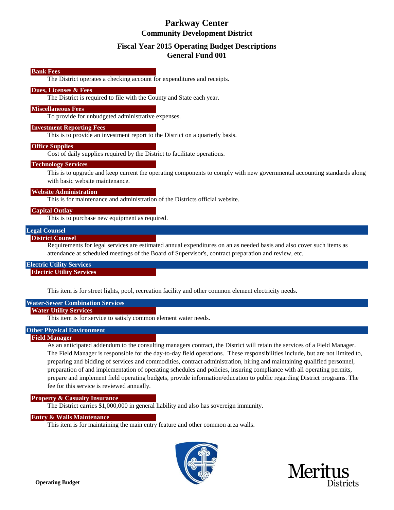### **Fiscal Year 2015 Operating Budget Descriptions General Fund 001**

#### **Bank Fees**

The District operates a checking account for expenditures and receipts.

#### **Dues, Licenses & Fees**

The District is required to file with the County and State each year.

#### **Miscellaneous Fees**

To provide for unbudgeted administrative expenses.

#### **Investment Reporting Fees**

This is to provide an investment report to the District on a quarterly basis.

#### **Office Supplies**

Cost of daily supplies required by the District to facilitate operations.

#### **Technology Services**

This is to upgrade and keep current the operating components to comply with new governmental accounting standards along with basic website maintenance.

#### **Website Administration**

This is for maintenance and administration of the Districts official website.

#### **Capital Outlay**

This is to purchase new equipment as required.

#### **Legal Counsel**

#### **District Counsel**

Requirements for legal services are estimated annual expenditures on an as needed basis and also cover such items as attendance at scheduled meetings of the Board of Supervisor's, contract preparation and review, etc.

## **Electric Utility Services**

#### **Electric Utility Services**

This item is for street lights, pool, recreation facility and other common element electricity needs.

#### **Water-Sewer Combination Services**

#### **Water Utility Services**

This item is for service to satisfy common element water needs.

### **Other Physical Environment**

#### **Field Manager**

As an anticipated addendum to the consulting managers contract, the District will retain the services of a Field Manager. The Field Manager is responsible for the day-to-day field operations. These responsibilities include, but are not limited to, preparing and bidding of services and commodities, contract administration, hiring and maintaining qualified personnel, preparation of and implementation of operating schedules and policies, insuring compliance with all operating permits, prepare and implement field operating budgets, provide information/education to public regarding District programs. The fee for this service is reviewed annually.

#### **Property & Casualty Insurance**

The District carries \$1,000,000 in general liability and also has sovereign immunity.

#### **Entry & Walls Maintenance**

This item is for maintaining the main entry feature and other common area walls.



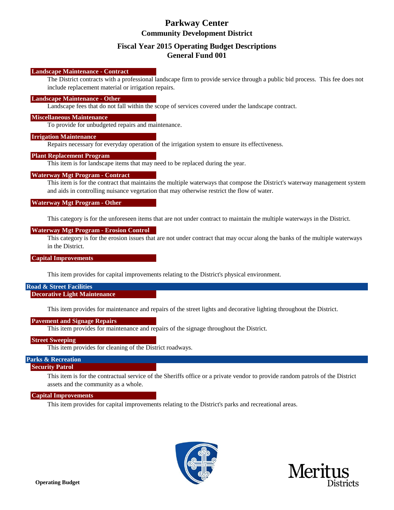### **Fiscal Year 2015 Operating Budget Descriptions General Fund 001**

#### **Landscape Maintenance - Contract**

The District contracts with a professional landscape firm to provide service through a public bid process. This fee does not include replacement material or irrigation repairs.

#### **Landscape Maintenance - Other**

Landscape fees that do not fall within the scope of services covered under the landscape contract.

#### **Miscellaneous Maintenance**

To provide for unbudgeted repairs and maintenance.

#### **Irrigation Maintenance**

Repairs necessary for everyday operation of the irrigation system to ensure its effectiveness.

#### **Plant Replacement Program**

This item is for landscape items that may need to be replaced during the year.

#### **Waterway Mgt Program - Contract**

This item is for the contract that maintains the multiple waterways that compose the District's waterway management system and aids in controlling nuisance vegetation that may otherwise restrict the flow of water.

#### **Waterway Mgt Program - Other**

This category is for the unforeseen items that are not under contract to maintain the multiple waterways in the District.

#### **Waterway Mgt Program - Erosion Control**

This category is for the erosion issues that are not under contract that may occur along the banks of the multiple waterways in the District.

#### **Capital Improvements**

This item provides for capital improvements relating to the District's physical environment.

#### **Road & Street Facilities Decorative Light Maintenance**

This item provides for maintenance and repairs of the street lights and decorative lighting throughout the District.

#### **Pavement and Signage Repairs**

This item provides for maintenance and repairs of the signage throughout the District.

#### **Street Sweeping**

This item provides for cleaning of the District roadways.

#### **Parks & Recreation**

#### **Security Patrol**

This item is for the contractual service of the Sheriffs office or a private vendor to provide random patrols of the District assets and the community as a whole.

#### **Capital Improvements**

This item provides for capital improvements relating to the District's parks and recreational areas.



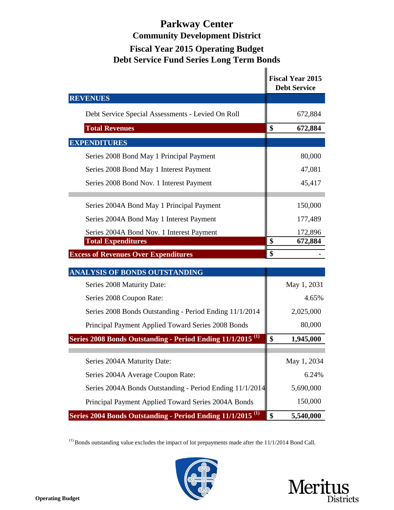## **Parkway Center Community Development District Fiscal Year 2015 Operating Budget Debt Service Fund Series Long Term Bonds**  $\mathbf{u}$

|                                                                        | <b>Fiscal Year 2015</b><br><b>Debt Service</b> |  |  |  |  |
|------------------------------------------------------------------------|------------------------------------------------|--|--|--|--|
| <b>REVENUES</b>                                                        |                                                |  |  |  |  |
| Debt Service Special Assessments - Levied On Roll                      | 672,884                                        |  |  |  |  |
| <b>Total Revenues</b>                                                  | \$<br>672,884                                  |  |  |  |  |
| <b>EXPENDITURES</b>                                                    |                                                |  |  |  |  |
| Series 2008 Bond May 1 Principal Payment                               | 80,000                                         |  |  |  |  |
| Series 2008 Bond May 1 Interest Payment                                | 47,081                                         |  |  |  |  |
| Series 2008 Bond Nov. 1 Interest Payment                               | 45,417                                         |  |  |  |  |
| Series 2004A Bond May 1 Principal Payment                              | 150,000                                        |  |  |  |  |
| Series 2004A Bond May 1 Interest Payment                               | 177,489                                        |  |  |  |  |
| Series 2004A Bond Nov. 1 Interest Payment                              | 172,896                                        |  |  |  |  |
| <b>Total Expenditures</b>                                              | \$<br>672,884                                  |  |  |  |  |
| <b>Excess of Revenues Over Expenditures</b>                            | \$                                             |  |  |  |  |
| ANALYSIS OF BONDS OUTSTANDING                                          |                                                |  |  |  |  |
| Series 2008 Maturity Date:                                             | May 1, 2031                                    |  |  |  |  |
| Series 2008 Coupon Rate:                                               | 4.65%                                          |  |  |  |  |
| Series 2008 Bonds Outstanding - Period Ending 11/1/2014                | 2,025,000                                      |  |  |  |  |
| Principal Payment Applied Toward Series 2008 Bonds                     | 80,000                                         |  |  |  |  |
| Series 2008 Bonds Outstanding - Period Ending 11/1/2015 <sup>(1)</sup> | \$<br>1,945,000                                |  |  |  |  |
| Series 2004A Maturity Date:                                            | May 1, 2034                                    |  |  |  |  |
| Series 2004A Average Coupon Rate:                                      | 6.24%                                          |  |  |  |  |
| Series 2004A Bonds Outstanding - Period Ending 11/1/2014               | 5,690,000                                      |  |  |  |  |
| Principal Payment Applied Toward Series 2004A Bonds                    | 150,000                                        |  |  |  |  |
| Series 2004 Bonds Outstanding - Period Ending 11/1/2015 <sup>(1)</sup> | \$<br>5,540,000                                |  |  |  |  |

(1) Bonds outstanding value excludes the impact of lot prepayments made after the 11/1/2014 Bond Call.



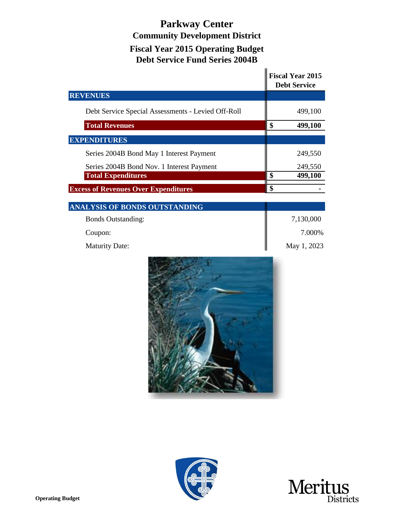## **Debt Service Fund Series 2004B Parkway Center Community Development District Fiscal Year 2015 Operating Budget**

|                                                    |                         | <b>Fiscal Year 2015</b><br><b>Debt Service</b> |  |  |  |  |  |
|----------------------------------------------------|-------------------------|------------------------------------------------|--|--|--|--|--|
| <b>REVENUES</b>                                    |                         |                                                |  |  |  |  |  |
| Debt Service Special Assessments - Levied Off-Roll |                         | 499,100                                        |  |  |  |  |  |
| <b>Total Revenues</b>                              | \$                      | 499,100                                        |  |  |  |  |  |
| <b>EXPENDITURES</b>                                |                         |                                                |  |  |  |  |  |
| Series 2004B Bond May 1 Interest Payment           |                         | 249,550                                        |  |  |  |  |  |
| Series 2004B Bond Nov. 1 Interest Payment          |                         | 249,550                                        |  |  |  |  |  |
| <b>Total Expenditures</b>                          | $\overline{\mathbf{s}}$ | 499,100                                        |  |  |  |  |  |
| <b>Excess of Revenues Over Expenditures</b>        | $\overline{\$}$         |                                                |  |  |  |  |  |
| ANALYSIS OF BONDS OUTSTANDING                      |                         |                                                |  |  |  |  |  |
| <b>Bonds Outstanding:</b>                          |                         | 7,130,000                                      |  |  |  |  |  |
| Coupon:                                            |                         | 7.000%                                         |  |  |  |  |  |
| <b>Maturity Date:</b>                              |                         | May 1, 2023                                    |  |  |  |  |  |
|                                                    |                         |                                                |  |  |  |  |  |